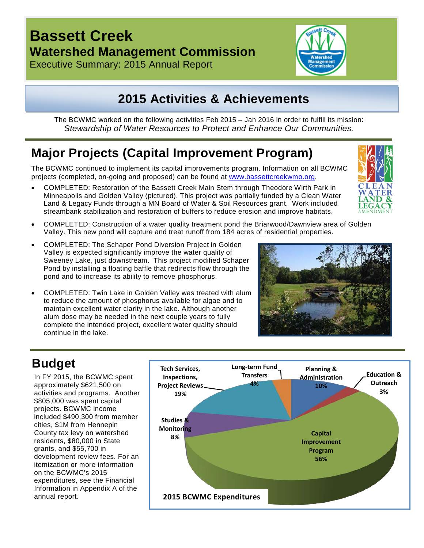# **Bassett Creek Watershed Management Commission**

Executive Summary: 2015 Annual Report



# **2015 Activities & Achievements**

The BCWMC worked on the following activities Feb 2015 – Jan 2016 in order to fulfill its mission: *Stewardship of Water Resources to Protect and Enhance Our Communities.*

## **Major Projects (Capital Improvement Program)**

The BCWMC continued to implement its capital improvements program. Information on all BCWMC projects (completed, on-going and proposed) can be found at [www.bassettcreekwmo.org.](http://www.bassettcreekwmo.org/)

- COMPLETED: Restoration of the Bassett Creek Main Stem through Theodore Wirth Park in Minneapolis and Golden Valley (pictured). This project was partially funded by a Clean Water Land & Legacy Funds through a MN Board of Water & Soil Resources grant. Work included streambank stabilization and restoration of buffers to reduce erosion and improve habitats.
- COMPLETED: Construction of a water quality treatment pond the Briarwood/Dawnview area of Golden Valley. This new pond will capture and treat runoff from 184 acres of residential properties.
- COMPLETED: The Schaper Pond Diversion Project in Golden Valley is expected significantly improve the water quality of Sweeney Lake, just downstream. This project modified Schaper Pond by installing a floating baffle that redirects flow through the pond and to increase its ability to remove phosphorus.
- COMPLETED: Twin Lake in Golden Valley was treated with alum to reduce the amount of phosphorus available for algae and to maintain excellent water clarity in the lake. Although another alum dose may be needed in the next couple years to fully complete the intended project, excellent water quality should continue in the lake.



## **Budget**

In FY 2015, the BCWMC spent approximately \$621,500 on activities and programs. Another \$805,000 was spent capital projects. BCWMC income included \$490,300 from member cities, \$1M from Hennepin County tax levy on watershed residents, \$80,000 in State grants, and \$55,700 in development review fees. For an itemization or more information on the BCWMC's 2015 expenditures, see the Financial Information in Appendix A of the annual report.